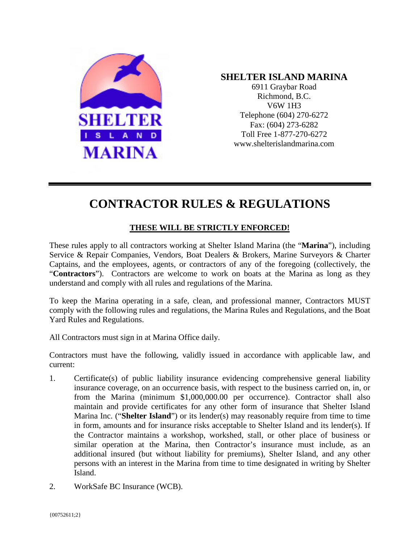

## **SHELTER ISLAND MARINA**

6911 Graybar Road Richmond, B.C. V6W 1H3 Telephone (604) 270-6272 Fax: (604) 273-6282 Toll Free 1-877-270-6272 www.shelterislandmarina.com

# **CONTRACTOR RULES & REGULATIONS**

## **THESE WILL BE STRICTLY ENFORCED!**

These rules apply to all contractors working at Shelter Island Marina (the "**Marina**"), including Service & Repair Companies, Vendors, Boat Dealers & Brokers, Marine Surveyors & Charter Captains, and the employees, agents, or contractors of any of the foregoing (collectively, the "**Contractors**"). Contractors are welcome to work on boats at the Marina as long as they understand and comply with all rules and regulations of the Marina.

To keep the Marina operating in a safe, clean, and professional manner, Contractors MUST comply with the following rules and regulations, the Marina Rules and Regulations, and the Boat Yard Rules and Regulations.

All Contractors must sign in at Marina Office daily.

Contractors must have the following, validly issued in accordance with applicable law, and current:

- 1. Certificate(s) of public liability insurance evidencing comprehensive general liability insurance coverage, on an occurrence basis, with respect to the business carried on, in, or from the Marina (minimum \$1,000,000.00 per occurrence). Contractor shall also maintain and provide certificates for any other form of insurance that Shelter Island Marina Inc. ("**Shelter Island**") or its lender(s) may reasonably require from time to time in form, amounts and for insurance risks acceptable to Shelter Island and its lender(s). If the Contractor maintains a workshop, workshed, stall, or other place of business or similar operation at the Marina, then Contractor's insurance must include, as an additional insured (but without liability for premiums), Shelter Island, and any other persons with an interest in the Marina from time to time designated in writing by Shelter Island.
- 2. WorkSafe BC Insurance (WCB).